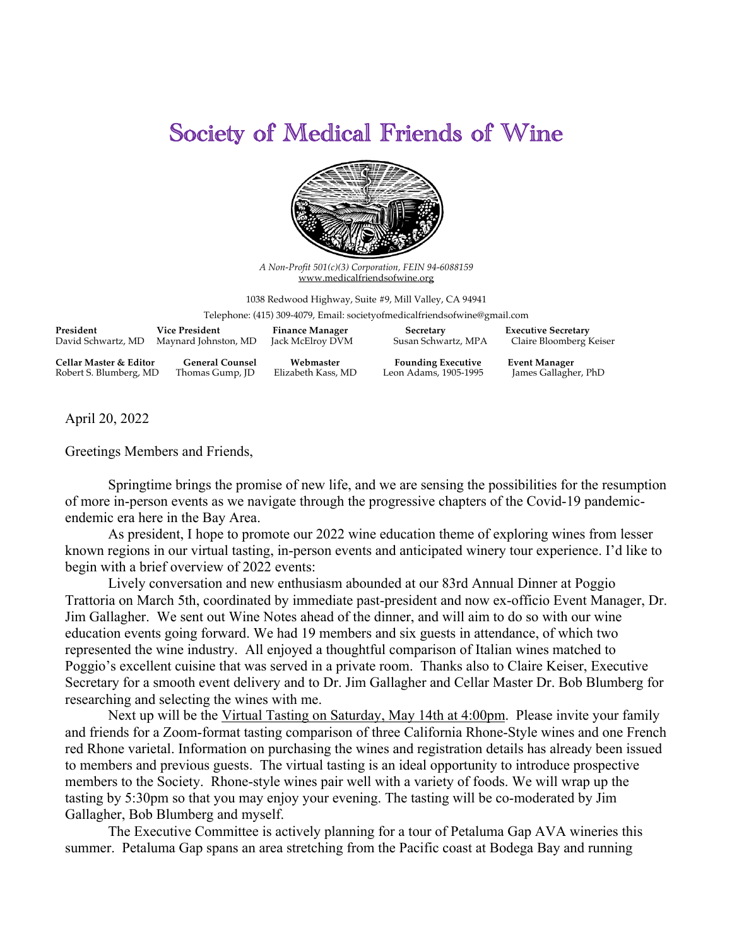## Society of Medical Friends of Wine



*A Non-Profit 501(c)(3) Corporation, FEIN 94-6088159* www.medicalfriendsofwine.org

1038 Redwood Highway, Suite #9, Mill Valley, CA 94941

Telephone: (415) 309-4079, Email: societyofmedicalfriendsofwine@gmail.com

| President              | Vice President         | <b>Finance Manager</b> | Secretary                 | <b>Executive Secretary</b> |
|------------------------|------------------------|------------------------|---------------------------|----------------------------|
| David Schwartz, MD     | Maynard Johnston, MD   | Jack McElroy DVM       | Susan Schwartz, MPA       | Claire Bloomberg Keiser    |
| Cellar Master & Editor | <b>General Counsel</b> | Webmaster              | <b>Founding Executive</b> | <b>Event Manager</b>       |
| Robert S. Blumberg, MD | Thomas Gump, JD        | Elizabeth Kass, MD     | Leon Adams, 1905-1995     | James Gallagher, PhD       |

April 20, 2022

Greetings Members and Friends,

Springtime brings the promise of new life, and we are sensing the possibilities for the resumption of more in-person events as we navigate through the progressive chapters of the Covid-19 pandemicendemic era here in the Bay Area.

As president, I hope to promote our 2022 wine education theme of exploring wines from lesser known regions in our virtual tasting, in-person events and anticipated winery tour experience. I'd like to begin with a brief overview of 2022 events:

Lively conversation and new enthusiasm abounded at our 83rd Annual Dinner at Poggio Trattoria on March 5th, coordinated by immediate past-president and now ex-officio Event Manager, Dr. Jim Gallagher. We sent out Wine Notes ahead of the dinner, and will aim to do so with our wine education events going forward. We had 19 members and six guests in attendance, of which two represented the wine industry. All enjoyed a thoughtful comparison of Italian wines matched to Poggio's excellent cuisine that was served in a private room. Thanks also to Claire Keiser, Executive Secretary for a smooth event delivery and to Dr. Jim Gallagher and Cellar Master Dr. Bob Blumberg for researching and selecting the wines with me.

Next up will be the Virtual Tasting on Saturday, May 14th at 4:00pm. Please invite your family and friends for a Zoom-format tasting comparison of three California Rhone-Style wines and one French red Rhone varietal. Information on purchasing the wines and registration details has already been issued to members and previous guests. The virtual tasting is an ideal opportunity to introduce prospective members to the Society. Rhone-style wines pair well with a variety of foods. We will wrap up the tasting by 5:30pm so that you may enjoy your evening. The tasting will be co-moderated by Jim Gallagher, Bob Blumberg and myself.

The Executive Committee is actively planning for a tour of Petaluma Gap AVA wineries this summer. Petaluma Gap spans an area stretching from the Pacific coast at Bodega Bay and running